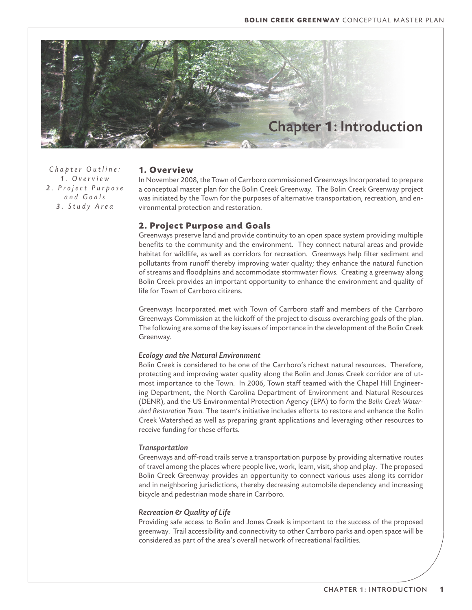

*Chapter Outline: 1 . O v e r v i e w 2 . P r o j e c t P u r p o s e a n d G o a l s 3 . S t u d y A r e a*

### **1. Overview**

In November 2008, the Town of Carrboro commissioned Greenways Incorporated to prepare a conceptual master plan for the Bolin Creek Greenway. The Bolin Creek Greenway project was initiated by the Town for the purposes of alternative transportation, recreation, and environmental protection and restoration.

## **2. Project Purpose and Goals**

Greenways preserve land and provide continuity to an open space system providing multiple benefits to the community and the environment. They connect natural areas and provide habitat for wildlife, as well as corridors for recreation. Greenways help filter sediment and pollutants from runoff thereby improving water quality; they enhance the natural function of streams and floodplains and accommodate stormwater flows. Creating a greenway along Bolin Creek provides an important opportunity to enhance the environment and quality of life for Town of Carrboro citizens.

Greenways Incorporated met with Town of Carrboro staff and members of the Carrboro Greenways Commission at the kickoff of the project to discuss overarching goals of the plan. The following are some of the key issues of importance in the development of the Bolin Creek Greenway.

#### *Ecology and the Natural Environment*

Bolin Creek is considered to be one of the Carrboro's richest natural resources. Therefore, protecting and improving water quality along the Bolin and Jones Creek corridor are of utmost importance to the Town. In 2006, Town staff teamed with the Chapel Hill Engineering Department, the North Carolina Department of Environment and Natural Resources (DENR), and the US Environmental Protection Agency (EPA) to form the *Bolin Creek Watershed Restoration Team.* The team's initiative includes efforts to restore and enhance the Bolin Creek Watershed as well as preparing grant applications and leveraging other resources to receive funding for these efforts.

#### *Transportation*

Greenways and off-road trails serve a transportation purpose by providing alternative routes of travel among the places where people live, work, learn, visit, shop and play. The proposed Bolin Creek Greenway provides an opportunity to connect various uses along its corridor and in neighboring jurisdictions, thereby decreasing automobile dependency and increasing bicycle and pedestrian mode share in Carrboro.

#### *Recreation & Quality of Life*

Providing safe access to Bolin and Jones Creek is important to the success of the proposed greenway. Trail accessibility and connectivity to other Carrboro parks and open space will be considered as part of the area's overall network of recreational facilities.